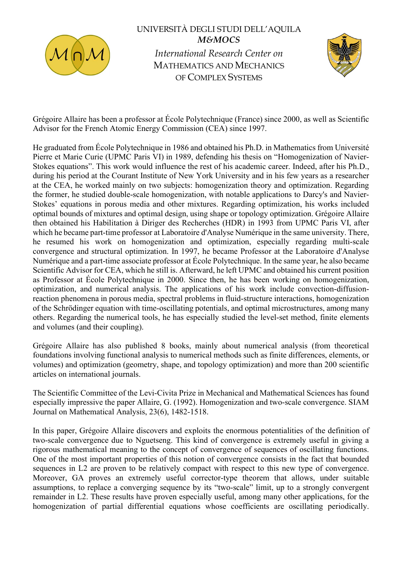

## UNIVERSITÀ DEGLI STUDI DELL'AQUILA M&MOCS International Research Center on

MATHEMATICS AND MECHANICS OF COMPLEX SYSTEMS



Grégoire Allaire has been a professor at École Polytechnique (France) since 2000, as well as Scientific Advisor for the French Atomic Energy Commission (CEA) since 1997.

He graduated from École Polytechnique in 1986 and obtained his Ph.D. in Mathematics from Université Pierre et Marie Curie (UPMC Paris VI) in 1989, defending his thesis on "Homogenization of Navier-Stokes equations". This work would influence the rest of his academic career. Indeed, after his Ph.D., during his period at the Courant Institute of New York University and in his few years as a researcher at the CEA, he worked mainly on two subjects: homogenization theory and optimization. Regarding the former, he studied double-scale homogenization, with notable applications to Darcy's and Navier-Stokes' equations in porous media and other mixtures. Regarding optimization, his works included optimal bounds of mixtures and optimal design, using shape or topology optimization. Grégoire Allaire then obtained his Habilitation à Diriger des Recherches (HDR) in 1993 from UPMC Paris VI, after which he became part-time professor at Laboratoire d'Analyse Numérique in the same university. There, he resumed his work on homogenization and optimization, especially regarding multi-scale convergence and structural optimization. In 1997, he became Professor at the Laboratoire d'Analyse Numérique and a part-time associate professor at École Polytechnique. In the same year, he also became Scientific Advisor for CEA, which he still is. Afterward, he left UPMC and obtained his current position as Professor at École Polytechnique in 2000. Since then, he has been working on homogenization, optimization, and numerical analysis. The applications of his work include convection-diffusionreaction phenomena in porous media, spectral problems in fluid-structure interactions, homogenization of the Schrödinger equation with time-oscillating potentials, and optimal microstructures, among many others. Regarding the numerical tools, he has especially studied the level-set method, finite elements and volumes (and their coupling).

Grégoire Allaire has also published 8 books, mainly about numerical analysis (from theoretical foundations involving functional analysis to numerical methods such as finite differences, elements, or volumes) and optimization (geometry, shape, and topology optimization) and more than 200 scientific articles on international journals.

The Scientific Committee of the Levi-Civita Prize in Mechanical and Mathematical Sciences has found especially impressive the paper Allaire, G. (1992). Homogenization and two-scale convergence. SIAM Journal on Mathematical Analysis, 23(6), 1482-1518.

In this paper, Grégoire Allaire discovers and exploits the enormous potentialities of the definition of two-scale convergence due to Nguetseng. This kind of convergence is extremely useful in giving a rigorous mathematical meaning to the concept of convergence of sequences of oscillating functions. One of the most important properties of this notion of convergence consists in the fact that bounded sequences in L2 are proven to be relatively compact with respect to this new type of convergence. Moreover, GA proves an extremely useful corrector-type theorem that allows, under suitable assumptions, to replace a converging sequence by its "two-scale" limit, up to a strongly convergent remainder in L2. These results have proven especially useful, among many other applications, for the homogenization of partial differential equations whose coefficients are oscillating periodically.